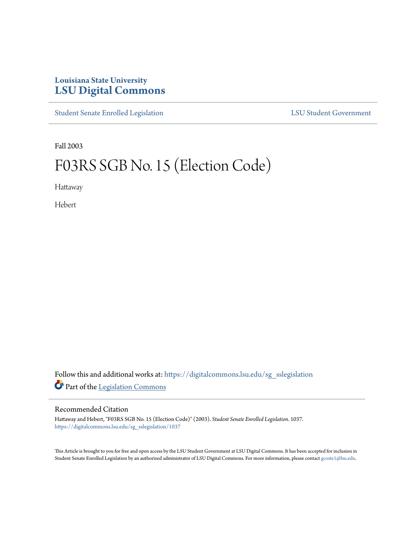### **Louisiana State University [LSU Digital Commons](https://digitalcommons.lsu.edu?utm_source=digitalcommons.lsu.edu%2Fsg_sslegislation%2F1037&utm_medium=PDF&utm_campaign=PDFCoverPages)**

[Student Senate Enrolled Legislation](https://digitalcommons.lsu.edu/sg_sslegislation?utm_source=digitalcommons.lsu.edu%2Fsg_sslegislation%2F1037&utm_medium=PDF&utm_campaign=PDFCoverPages) [LSU Student Government](https://digitalcommons.lsu.edu/sg?utm_source=digitalcommons.lsu.edu%2Fsg_sslegislation%2F1037&utm_medium=PDF&utm_campaign=PDFCoverPages)

Fall 2003

# F03RS SGB No. 15 (Election Code)

Hattaway

Hebert

Follow this and additional works at: [https://digitalcommons.lsu.edu/sg\\_sslegislation](https://digitalcommons.lsu.edu/sg_sslegislation?utm_source=digitalcommons.lsu.edu%2Fsg_sslegislation%2F1037&utm_medium=PDF&utm_campaign=PDFCoverPages) Part of the [Legislation Commons](http://network.bepress.com/hgg/discipline/859?utm_source=digitalcommons.lsu.edu%2Fsg_sslegislation%2F1037&utm_medium=PDF&utm_campaign=PDFCoverPages)

#### Recommended Citation

Hattaway and Hebert, "F03RS SGB No. 15 (Election Code)" (2003). *Student Senate Enrolled Legislation*. 1037. [https://digitalcommons.lsu.edu/sg\\_sslegislation/1037](https://digitalcommons.lsu.edu/sg_sslegislation/1037?utm_source=digitalcommons.lsu.edu%2Fsg_sslegislation%2F1037&utm_medium=PDF&utm_campaign=PDFCoverPages)

This Article is brought to you for free and open access by the LSU Student Government at LSU Digital Commons. It has been accepted for inclusion in Student Senate Enrolled Legislation by an authorized administrator of LSU Digital Commons. For more information, please contact [gcoste1@lsu.edu.](mailto:gcoste1@lsu.edu)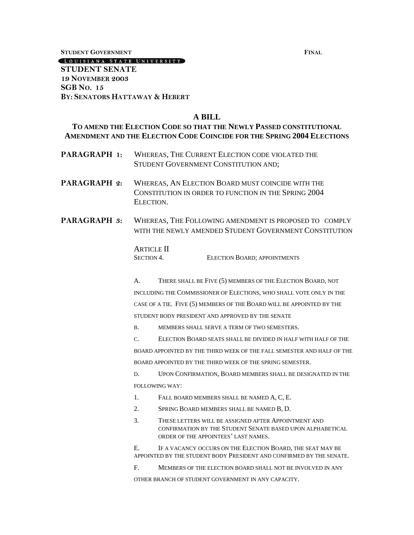**STUDENT GOVERNMENT FINAL**

[LOUISIANA STATE UNIVERSITY] **STUDENT SENATE 19 NOVEMBER 2003**

**SGB NO. 15 BY: SENATORS HATTAWAY & HEBERT**

#### **A BILL**

#### **TO AMEND THE ELECTION CODE SO THAT THE NEWLY PASSED CONSTITUTIONAL AMENDMENT AND THE ELECTION CODE COINCIDE FOR THE SPRING 2004 ELECTIONS**

- **PARAGRAPH 1:** WHEREAS, THE CURRENT ELECTION CODE VIOLATED THE STUDENT GOVERNMENT CONSTITUTION AND;
- **PARAGRAPH 2:** WHEREAS, AN ELECTION BOARD MUST COINCIDE WITH THE CONSTITUTION IN ORDER TO FUNCTION IN THE SPRING 2004 ELECTION.
- **PARAGRAPH 3:** WHEREAS, THE FOLLOWING AMENDMENT IS PROPOSED TO COMPLY WITH THE NEWLY AMENDED STUDENT GOVERNMENT CONSTITUTION

| <b>ARTICLE II</b> |                                     |
|-------------------|-------------------------------------|
| <b>SECTION 4.</b> | <b>ELECTION BOARD; APPOINTMENTS</b> |

A. THERE SHALL BE FIVE (5) MEMBERS OF THE ELECTION BOARD, NOT INCLUDING THE COMMISSIONER OF ELECTIONS, WHO SHALL VOTE ONLY IN THE CASE OF A TIE. FIVE (5) MEMBERS OF THE BOARD WILL BE APPOINTED BY THE STUDENT BODY PRESIDENT AND APPROVED BY THE SENATE

B. MEMBERS SHALL SERVE A TERM OF TWO SEMESTERS.

C. ELECTION BOARD SEATS SHALL BE DIVIDED IN HALF WITH HALF OF THE BOARD APPOINTED BY THE THIRD WEEK OF THE FALL SEMESTER AND HALF OF THE BOARD APPOINTED BY THE THIRD WEEK OF THE SPRING SEMESTER.

D. UPON CONFIRMATION, BOARD MEMBERS SHALL BE DESIGNATED IN THE FOLLOWING WAY:

- 1. FALL BOARD MEMBERS SHALL BE NAMED A, C, E.
- 2. SPRING BOARD MEMBERS SHALL BE NAMED B, D.
- 3. THESE LETTERS WILL BE ASSIGNED AFTER APPOINTMENT AND CONFIRMATION BY THE STUDENT SENATE BASED UPON ALPHABETICAL ORDER OF THE APPOINTEES' LAST NAMES.

E. IF A VACANCY OCCURS ON THE ELECTION BOARD, THE SEAT MAY BE APPOINTED BY THE STUDENT BODY PRESIDENT AND CONFIRMED BY THE SENATE.

F. MEMBERS OF THE ELECTION BOARD SHALL NOT BE INVOLVED IN ANY

OTHER BRANCH OF STUDENT GOVERNMENT IN ANY CAPACITY.